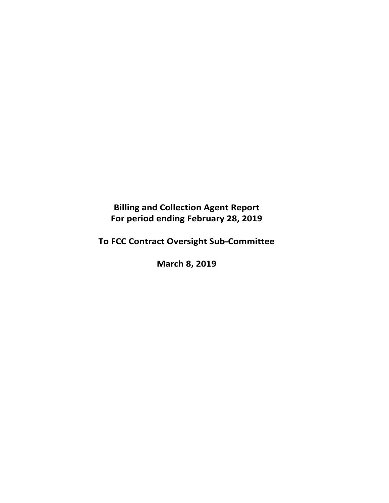**Billing and Collection Agent Report For period ending February 28, 2019** 

**To FCC Contract Oversight Sub‐Committee** 

**March 8, 2019**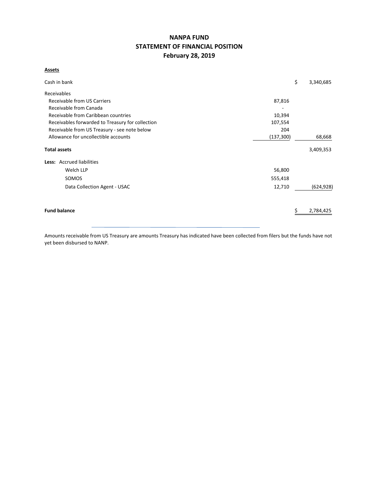# **NANPA FUND STATEMENT OF FINANCIAL POSITION February 28, 2019**

## **Assets**

| Cash in bank                                     |            | \$<br>3,340,685 |
|--------------------------------------------------|------------|-----------------|
| Receivables                                      |            |                 |
| Receivable from US Carriers                      | 87,816     |                 |
| Receivable from Canada                           |            |                 |
| Receivable from Caribbean countries              | 10,394     |                 |
| Receivables forwarded to Treasury for collection | 107,554    |                 |
| Receivable from US Treasury - see note below     | 204        |                 |
| Allowance for uncollectible accounts             | (137, 300) | 68,668          |
| <b>Total assets</b>                              |            | 3,409,353       |
| Less: Accrued liabilities                        |            |                 |
| Welch LLP                                        | 56,800     |                 |
| SOMOS                                            | 555,418    |                 |
| Data Collection Agent - USAC                     | 12,710     | (624, 928)      |
| <b>Fund balance</b>                              |            | 2,784,425       |
|                                                  |            |                 |

Amounts receivable from US Treasury are amounts Treasury has indicated have been collected from filers but the funds have not yet been disbursed to NANP.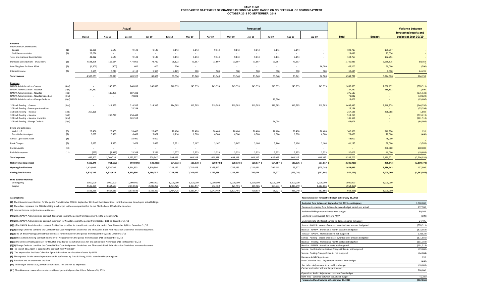#### **NANP FUND FORECASTED STATEMENT OF CHANGES IN FUND BALANCE BASED ON NO DEFERRAL OF SOMOS PAYMENTOCTOBER 2018 TO SEPTEMBER 2019**

|                                                      |        |           |               | Actual        |            |            |               |           |               | Forecasted |                          |            |             |              |               | <b>Variance between</b>                        |
|------------------------------------------------------|--------|-----------|---------------|---------------|------------|------------|---------------|-----------|---------------|------------|--------------------------|------------|-------------|--------------|---------------|------------------------------------------------|
|                                                      |        | Oct-18    | <b>Nov-18</b> | <b>Dec-18</b> | Jan-19     | Feb-19     | <b>Mar-19</b> | Apr-19    | <b>May-19</b> | Jun-19     | <b>Jul-19</b>            | Aug-19     | Sep-19      | <b>Total</b> | <b>Budget</b> | forecasted results and<br>budget at Sept 30/19 |
|                                                      |        |           |               |               |            |            |               |           |               |            |                          |            |             |              |               |                                                |
| <b>Revenue</b><br><b>International Contributions</b> |        |           |               |               |            |            |               |           |               |            |                          |            |             |              |               |                                                |
| Canada                                               | (1)    | 18,286    | 9,143         | 9,143         | 9,143      | 9,143      | 9,143         | 9,143     | 9,143         | 9,143      | 9,143                    | 9,144      |             | 109,717      | 109,717       |                                                |
| Caribbean countries                                  | (1)    | 23,036    | $\sim$        | $\sim$        | $\sim$     |            |               |           | $\sim$        | $\sim$     | $\overline{\phantom{a}}$ | $\sim$     |             | 23,036       | 23,036        |                                                |
| <b>Total International Contributions</b>             |        | 41,322    | 9,143         | 9,143         | 9,143      | 9,143      | 9,143         | 9,143     | 9,143         | 9,143      | 9,143                    | 9,144      | $\sim$      | 132,753      | 132,753       |                                                |
| Domestic Contributions - US carriers                 | (1)    | 4,538,876 | 115,084       | 474,065       | 73,710     | 76,122     | 73,697        | 73,697    | 73,697        | 73,697     | 73,697                   | 73,697     |             | 5,720,039    | 5,639,875     | 80,164                                         |
| Late filing fees for Form 499A                       | (2)    | (1,300)   | (400)         | 600           | 400        | 200        | $\sim$        | $\sim$    | $\sim$        | $\sim$     | $\sim$                   | $\sim$     | 66,000      | 65,500       | 66,000        | (500)                                          |
| Interest income                                      | (3)    | 6,155     | 5,244         | 6,112         | 5,355      | 4,129      | 500           | 500       | 500           | 500        | 500                      | 500        | 500         | 30,495       | 6,000         | 24,495                                         |
| Total revenue                                        |        | 4,585,053 | 129,071       | 489,920       | 88,608     | 89,594     | 83,340        | 83,340    | 83,340        | 83,340     | 83,340                   | 83,341     | 66,500      | 5,948,787    | 5,844,628     | 104,159                                        |
| <b>Expenses</b>                                      |        |           |               |               |            |            |               |           |               |            |                          |            |             |              |               |                                                |
| <b>NANPA Administration - Somos</b>                  | (4)(a) | $\sim$    | 240,833       | 240,833       | 240,833    | 240,833    | 243,333       | 243,333   | 243,333       | 243,333    | 243,333                  | 243,333    | 243,333     | 2,666,663    | 2,088,152     | (578, 511)                                     |
| <b>NANPA Administration - Neustar</b>                | (4)(b) | 187,332   |               |               |            |            |               |           |               |            |                          |            |             | 187,332      | 189,832       | 2,500                                          |
| <b>NANPA Administration - Neustar</b>                | (4)(b) |           | 188,201       | 187,332       |            |            |               |           |               |            |                          |            |             | 375,533      |               | (375, 533)                                     |
| NANPA Administration - Neustar transition            | (4)(c) |           | $\sim$        | 70,822        |            |            |               |           |               |            |                          |            |             | 70,822       |               | (70, 822)                                      |
| NANPA Administration - Change Order A                | (4)(d) |           |               |               |            |            |               |           |               |            | 19,606                   |            |             | 19,606       |               | (19,606)                                       |
| 1K Block Pooling - Somos                             | (5)(a) | $\sim$    | 314,855       | 314,585       | 314,315    | 314,585    | 319,585       | 319,585   | 319,585       | 319,585    | 319,585                  | 319,585    | 319,585     | 3,495,435    | 2,848,879     | (646, 556)                                     |
| 1K Block Pooling - Somos pre-transition              |        |           |               | 25,294        |            |            |               |           |               |            |                          |            |             | 25,294       |               | (25, 294)                                      |
| 1K Block Pooling - Neustar                           | (5)(b) | 257,128   |               |               |            |            |               |           |               |            |                          |            |             | 257,128      | 258,988       | 1,860                                          |
| 1K Block Pooling - Neustar                           | (5)(b) |           | 258,777       | 254,442       |            |            |               |           |               |            |                          |            |             | 513,219      |               | (513, 219)                                     |
| 1K Block Pooling - Neustar transition                | (5)(c) |           |               | 101,518       |            |            |               |           |               |            |                          |            |             | 101,518      |               | (101, 518)                                     |
| 1K Block Pooling - Change Order A                    | (5)(d) |           |               |               |            |            |               |           |               |            | 64,004                   |            |             | 64,004       |               | (64,004)                                       |
| <b>Billing and Collection</b>                        |        |           |               |               |            |            |               |           |               |            |                          |            |             |              |               |                                                |
| Welch LLP                                            | (6)    | 28,400    | 28,400        | 28,400        | 28,400     | 28,400     | 28,400        | 28,400    | 28,400        | 28,400     | 28,400                   | 28,400     | 28,400      | 340,800      | 340,920       | 120                                            |
| Data Collection Agent                                | (7)    | 6,637     | 6,586         | 6,465         | 7,062      | 6,210      | 6,500         | 6,500     | 6,500         | 6,500      | 6,500                    | 6,500      | 6,500       | 78,460       | 78,000        | (460)                                          |
| <b>Annual Operations Audit</b>                       | (8)    | $\sim$    | $\sim$        | 38,400        | 9,600      | $\sim$ $-$ | $\sim$        | $\sim$    | $\sim$        | $\sim$ $-$ | $\sim$                   |            | $\sim$      | 48,000       | 48,000        |                                                |
| <b>Bank Charges</b>                                  | (9)    | 3,835     | 7,530         | 2,478         | 2,456      | 2,821      | 3,167         | 3,167     | 3,167         | 3,166      | 3,166                    | 3,166      | 3,166       | 41,285       | 38,000        | (3, 285)                                       |
| Carrier Audits                                       | (10)   | $\sim$    | $\sim$        | $\sim$        | $\sim$     | $\sim$     | $\sim$        | $\sim$    | $\sim$        | $\sim$     | $\overline{\phantom{a}}$ | $\sim$     | $\sim$      | $\sim$       | 200,000       | 200,000                                        |
| <b>Bad debt expense</b>                              | (11)   | (525)     | (4, 449)      | 23,388        | 7,281      | 1,577      | 3,333         | 3,333     | 3,333         | 3,333      | 3,333                    | 3,333      | 3,333       | 50,603       | 40,000        | (10, 603)                                      |
| <b>Total expenses</b>                                |        | 482,807   | 1,040,733     | 1,293,957     | 609,947    | 594,426    | 604,318       | 604,318   | 604,318       | 604,317    | 687,927                  | 604,317    | 604,317     | 8,335,702    | 6,130,771     | (2, 204, 931)                                  |
| Net revenue (expenses)                               |        | 4,102,246 | 911,662) (    | 804,037)      | 521,339) ( | 504,832)   | 520,978) (    | 520,978)  | 520,978)      | 520,977) ( | 604,587) (               | 520,976)   | $537,817$ ( | 2,386,915) ( | 286,143)      | (2, 100, 772)                                  |
| <b>Opening fund balance</b>                          |        | 1,424,049 | 5,526,295     | 4,614,633     | 3,810,596  | 3,289,257  | 2,784,425     | 2,263,447 | 1,742,469     | 1,221,491  | 700,514                  | 95,927     | (425,049)   | 1,424,049    | 1,286,143     | 137,906                                        |
| <b>Closing fund balance</b>                          |        | 5,526,295 | 4,614,633     | 3,810,596     | 3,289,257  | 2,784,425  | 2,263,447     | 1,742,469 | 1,221,491     | 700,514    | 95,927                   | (425, 049) | (962, 866)  | (962, 866)   | 1,000,000     | (1,962,866)                                    |
| Fund balance makeup:                                 |        |           |               |               |            |            |               |           |               |            |                          |            |             |              |               |                                                |
| Contingency                                          |        | 1,000,000 | 1,000,000     | 1,000,000     | 1,000,000  | 1,000,000  | 1,000,000     | 1,000,000 | 1,000,000     | 1,000,000  | 1,000,000                | 1,000,000  | 1,000,000   | 1,000,000    | 1,000,000     |                                                |
| Surplus                                              |        | 4,526,295 | 3,614,633     | 2,810,596     | 2,289,257  | 1,784,425  | 1,263,447     | 742,469   | 221,491       | 299,486) ( | 904,073) (               | 1,425,049) | 1,962,866)  | 1,962,866)   |               |                                                |

5,526,295 4,614,633 3,810,596 3,289,257 2,784,425 2,263,447 1,742,469 1,221,491 700,514 95,227( 425,049)( 962,866) 1,000,000

**(1)** The US carrier contributions for the period from October 2018 to September 2019 and the International contributions are based upon actual billings.

#### **Assumptions: Reconciliation of forecast to budget at February 28, 2019**

| (1) The US carrier contributions for the period from October 2018 to September 2019 and the International contributions are based upon actual billings. | Budgeted fund balance at September 30, 2019 - contingency         | 1,000,000  |
|---------------------------------------------------------------------------------------------------------------------------------------------------------|-------------------------------------------------------------------|------------|
| (2) These fees represent the \$100 late filing fee charged to those companies that do not file the Form 499A by the due date.                           | Decrease in opening fund balance between budget period and actual | 137,906    |
| (3) Interest income projections are estimates                                                                                                           | Additional billings over estimate from budget                     | 80,164     |
| (4)(a) The NANPA Administration contract for Somos covers the period from November 1/18 to October 31/19                                                | Late filing fees (reversal) for Form 499A                         | (500)      |
| (4)(b) The NANPA Administration contract extension for NeuStar covers the period from October 1/18 to December 31/18                                    | Underestimate of interest earned to date compared to budget       | 24,495     |
| (4)(c) The NANPA Administration contract for NeuStar provides for transitional costs for the period from November 1/18 to December 31/18                | Somos - NANPA - excess of contract awarded over amount budgeted   | (578, 511) |
| (4)(d) Change Order to combine the Central Office Code Assignment Guidelines and Thousands-Block Administration Guidelines into one document.           | NeuStar - NANPA - transitional month costs not budgeted           | (373, 033) |
| (5)(a)The 1K Block Pooling Administration contract for Somos covers the period from November 1/18 to October 31/19                                      | NeuStar - NANPA - transition costs not budgeted                   | (70, 822)  |
| (5)(b) The 1K Block Pooling contract extension for NeuStar covers the period from October 1/18 to December 31/18                                        | Somos - Pooling - excess of contract awarded over amount budgeted | (671, 850) |
| (5)(c) The 1K Block Pooling contract for NeuStar provides for transitional costs for the period from November 1/18 to December 31/18                    | NeuStar - Pooling - transitional month costs not budgeted         | (511, 359) |
| (5)(d) Change Order to combine the Central Office Code Assignment Guidelines and Thousands-Block Administration Guidelines into one document.           | NeuStar - NANPA - transition costs not budgeted                   | (101, 518) |
| (6) The cost of B&C Agent is based on the contract with Welch LLP                                                                                       | Somos - NANPA Administration Change Order A - not budgeted        | (19, 606)  |
| (7) The expense for the Data Collection Agent is based on an allocation of costs by USAC.                                                               | Somos - Pooling Change Order A - not budgeted                     | (64,004)   |
| (8) The expense for the annual operations audit performed by Ernst & Young LLP is based on the quote given.                                             | Decrease in B&C Agent costs                                       | 120        |
| (9) Bank fees are an expense to the Fund.                                                                                                               | Data Collection fees - Adjustment to actual from budget           | (460)      |
| (10) The budget allows \$200,000 for carrier audits. This will not be expended.                                                                         | Bad debts - Adiustment to actual from budget                      | (10, 603)  |
| (11) The allowance covers all accounts considered potentially uncollectible at February 28, 2019.                                                       | Carrier audits that will not be performed                         | 200,000    |
|                                                                                                                                                         | Operations Audit - Adiustment to actual from budget               |            |
|                                                                                                                                                         | Bank fees - Variance between actual and budget                    | (3, 285)   |
|                                                                                                                                                         | Forecaseted fund balance at September 30, 2019                    | (962, 866) |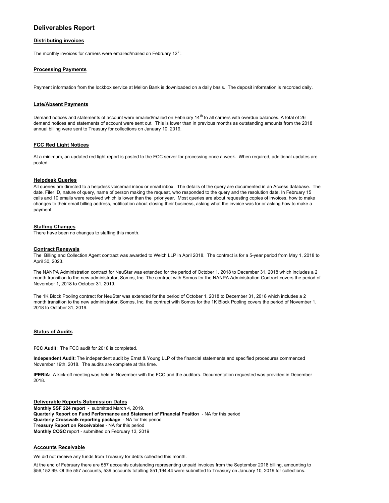## **Deliverables Report**

#### **Distributing invoices**

The monthly invoices for carriers were emailed/mailed on February  $12<sup>th</sup>$ .

#### **Processing Payments**

Payment information from the lockbox service at Mellon Bank is downloaded on a daily basis. The deposit information is recorded daily.

#### **Late/Absent Payments**

Demand notices and statements of account were emailed/mailed on February 14<sup>th</sup> to all carriers with overdue balances. A total of 26 demand notices and statements of account were sent out. This is lower than in previous months as outstanding amounts from the 2018 annual billing were sent to Treasury for collections on January 10, 2019.

#### **FCC Red Light Notices**

At a minimum, an updated red light report is posted to the FCC server for processing once a week. When required, additional updates are posted.

#### **Helpdesk Queries**

All queries are directed to a helpdesk voicemail inbox or email inbox. The details of the query are documented in an Access database. The date, Filer ID, nature of query, name of person making the request, who responded to the query and the resolution date. In February 15 calls and 10 emails were received which is lower than the prior year. Most queries are about requesting copies of invoices, how to make changes to their email billing address, notification about closing their business, asking what the invoice was for or asking how to make a payment.

#### **Staffing Changes**

There have been no changes to staffing this month.

#### **Contract Renewals**

The Billing and Collection Agent contract was awarded to Welch LLP in April 2018. The contract is for a 5-year period from May 1, 2018 to April 30, 2023.

The NANPA Administration contract for NeuStar was extended for the period of October 1, 2018 to December 31, 2018 which includes a 2 month transition to the new administrator, Somos, Inc. The contract with Somos for the NANPA Administration Contract covers the period of November 1, 2018 to October 31, 2019.

The 1K Block Pooling contract for NeuStar was extended for the period of October 1, 2018 to December 31, 2018 which includes a 2 month transition to the new administrator, Somos, Inc. the contract with Somos for the 1K Block Pooling covers the period of November 1, 2018 to October 31, 2019.

#### **Status of Audits**

**FCC Audit:** The FCC audit for 2018 is completed.

**Independent Audit:** The independent audit by Ernst & Young LLP of the financial statements and specified procedures commenced November 19th, 2018. The audits are complete at this time.

**IPERIA:** A kick-off meeting was held in November with the FCC and the auditors. Documentation requested was provided in December 2018.

**Deliverable Reports Submission Dates Monthly SSF 224 repor**t - submitted March 4, 2019. **Quarterly Report on Fund Performance and Statement of Financial Positio**n - NA for this period **Quarterly Crosswalk reporting package** - NA for this period **Treasury Report on Receivables** - NA for this period **Monthly COSC** report - submitted on February 13, 2019

#### **Accounts Receivable**

We did not receive any funds from Treasury for debts collected this month.

At the end of February there are 557 accounts outstanding representing unpaid invoices from the September 2018 billing, amounting to \$56,152.99. Of the 557 accounts, 539 accounts totalling \$51,194.44 were submitted to Treasury on January 10, 2019 for collections.